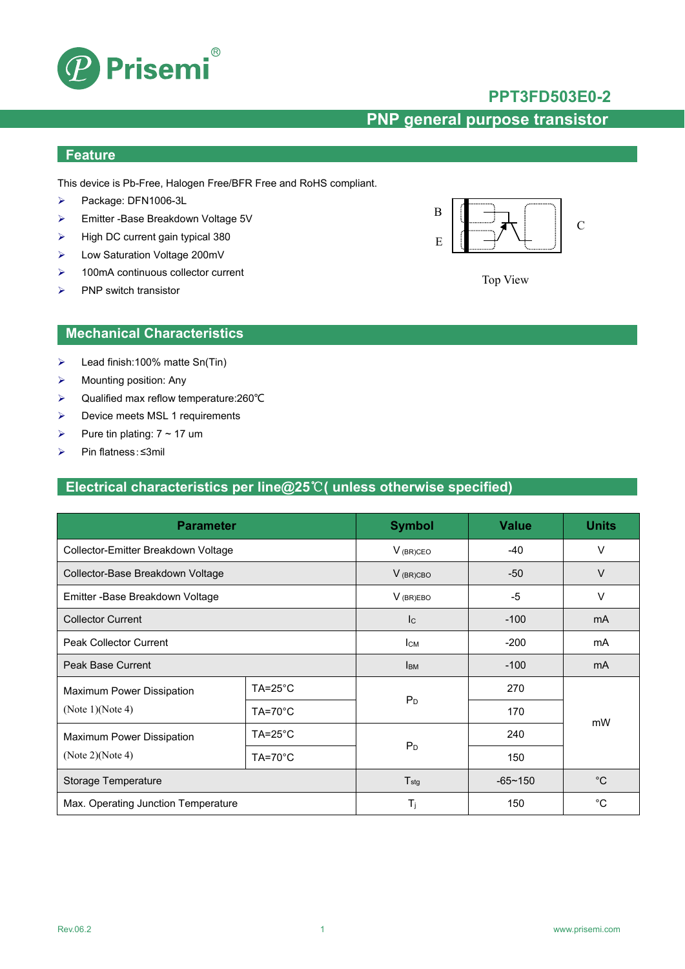

## **PPT3FD503E0-2**

# **PNP general purpose transistor**

## **Feature**

This device is Pb-Free, Halogen Free/BFR Free and RoHS compliant.

- Package: DFN1006-3L
- Emitter -Base Breakdown Voltage 5V
- $\triangleright$  High DC current gain typical 380
- Low Saturation Voltage 200mV
- $\geq$  100mA continuous collector current
- $\triangleright$  PNP switch transistor



Top View

### **Mechanical Characteristics**

- $\blacktriangleright$  Lead finish:100% matte Sn(Tin)
- $\triangleright$  Mounting position: Any
- Qualified max reflow temperature:260℃
- $\triangleright$  Device meets MSL 1 requirements
- Pure tin plating:  $7 \sim 17$  um
- Pin flatness:≤3mil

## **Electrical characteristics per line@25**℃**( unless otherwise specified)**

| <b>Parameter</b>                    |                    | <b>Symbol</b>             | <b>Value</b>   | <b>Units</b> |  |
|-------------------------------------|--------------------|---------------------------|----------------|--------------|--|
| Collector-Emitter Breakdown Voltage |                    | $V_{(BR)CEO}$             | $-40$          | V            |  |
| Collector-Base Breakdown Voltage    |                    | $V_{(BR)CBO}$             | $-50$          | $\vee$       |  |
| Emitter - Base Breakdown Voltage    |                    | $V_{(BR)EBO}$             | -5             | $\vee$       |  |
| <b>Collector Current</b>            |                    | $\mathsf{I}_{\mathsf{C}}$ | $-100$         | mA           |  |
| <b>Peak Collector Current</b>       |                    | Iсм                       | $-200$         | mA           |  |
| <b>Peak Base Current</b>            |                    | <b>I</b> BM               | $-100$         | mA           |  |
| Maximum Power Dissipation           | $TA = 25^{\circ}C$ |                           | 270            |              |  |
| (Note $1$ )(Note 4)                 | $TA=70^{\circ}C$   | P <sub>D</sub>            | 170            |              |  |
| Maximum Power Dissipation           | $TA = 25^{\circ}C$ |                           | 240            | mW           |  |
| (Note 2)(Note 4)                    | $TA=70^{\circ}C$   | P <sub>D</sub>            | 150            |              |  |
| Storage Temperature                 |                    | $T_{\text{stg}}$          | $-65 \sim 150$ | $^{\circ}C$  |  |
| Max. Operating Junction Temperature |                    | $T_i$                     | 150            | °C           |  |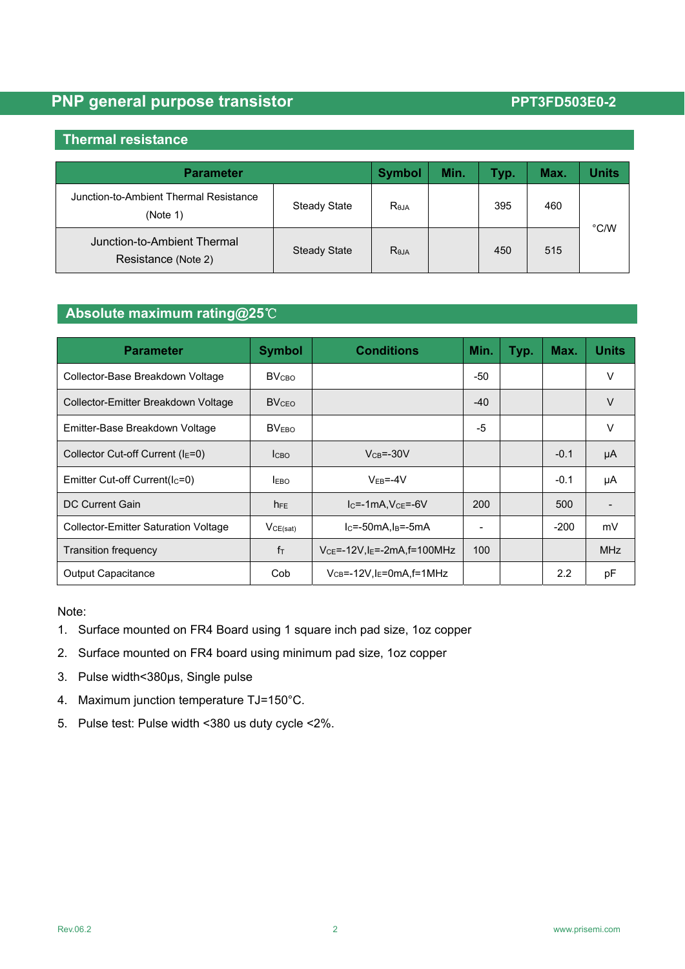### **Thermal resistance**

| <b>Parameter</b>                                   |                     | <b>Symbol</b> | Min. | Typ. | Max. | <b>Units</b> |  |
|----------------------------------------------------|---------------------|---------------|------|------|------|--------------|--|
| Junction-to-Ambient Thermal Resistance<br>(Note 1) | Steady State        | <b>ReJA</b>   |      | 395  | 460  |              |  |
| Junction-to-Ambient Thermal<br>Resistance (Note 2) | <b>Steady State</b> | <b>ReJA</b>   |      | 450  | 515  | °C/W         |  |

### **Absolute maximum rating@25**℃

| <b>Parameter</b>                     | <b>Symbol</b>   | <b>Conditions</b>                             | Min.  | Typ. | Max.             | <b>Units</b> |
|--------------------------------------|-----------------|-----------------------------------------------|-------|------|------------------|--------------|
| Collector-Base Breakdown Voltage     | <b>BV</b> сво   |                                               | -50   |      |                  | v            |
| Collector-Emitter Breakdown Voltage  | <b>BVCEO</b>    |                                               | $-40$ |      |                  | ٧            |
| Emitter-Base Breakdown Voltage       | <b>BVEBO</b>    |                                               | -5    |      |                  | v            |
| Collector Cut-off Current ( $IE=0$ ) | <b>Ісво</b>     | $VCB=-30V$                                    |       |      | $-0.1$           | μA           |
| Emitter Cut-off Current( $IC=0$ )    | <b>LEBO</b>     | $V_{FB} = -4V$                                |       |      | $-0.1$           | μA           |
| DC Current Gain                      | h <sub>FE</sub> | $IC=-1mA, VCE=-6V$                            | 200   |      | 500              |              |
| Collector-Emitter Saturation Voltage | VCE(sat)        | $IC=-50mA, IB=-5mA$                           |       |      | $-200$           | mV           |
| <b>Transition frequency</b>          | $f_{\text{T}}$  | $V_{CE} = -12V$ , $I_E = -2mA$ , $f = 100MHz$ | 100   |      |                  | <b>MHz</b>   |
| Output Capacitance                   | Cob             | $V_{CB} = -12V$ , $I_E = 0$ mA, $f = 1$ MHz   |       |      | $2.2\phantom{0}$ | pF           |

### Note:

- 1. Surface mounted on FR4 Board using 1 square inch pad size, 1oz copper
- 2. Surface mounted on FR4 board using minimum pad size, 1oz copper
- 3. Pulse width<380μs, Single pulse
- 4. Maximum junction temperature TJ=150°C.
- 5. Pulse test: Pulse width <380 us duty cycle <2%.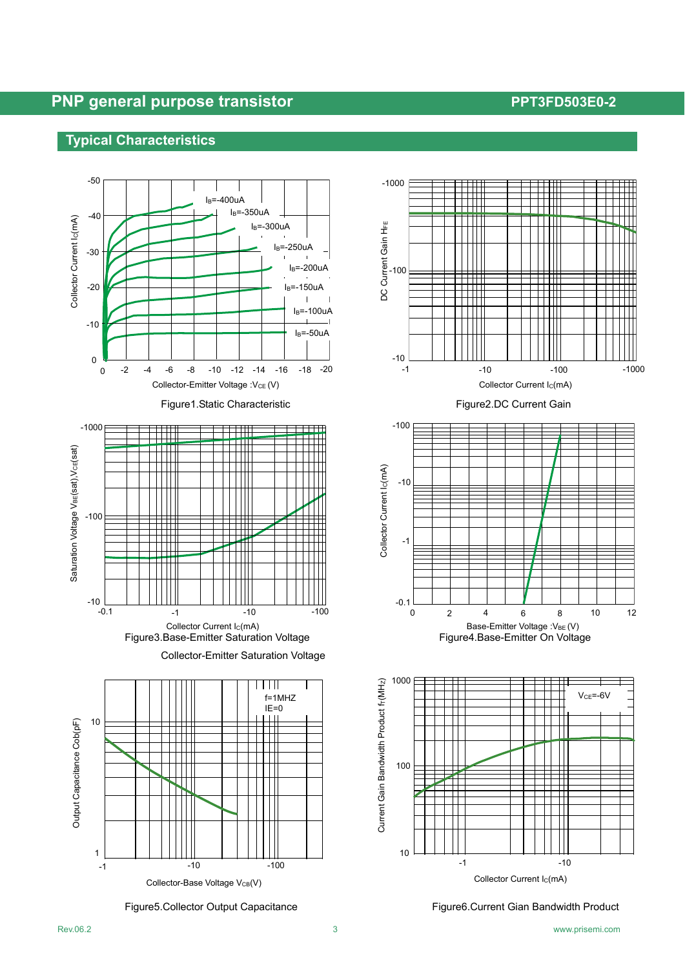# **Typical Characteristics Typical Characteristics**











Figure5.Collector Output Capacitance Figure6.Current Gian Bandwidth Product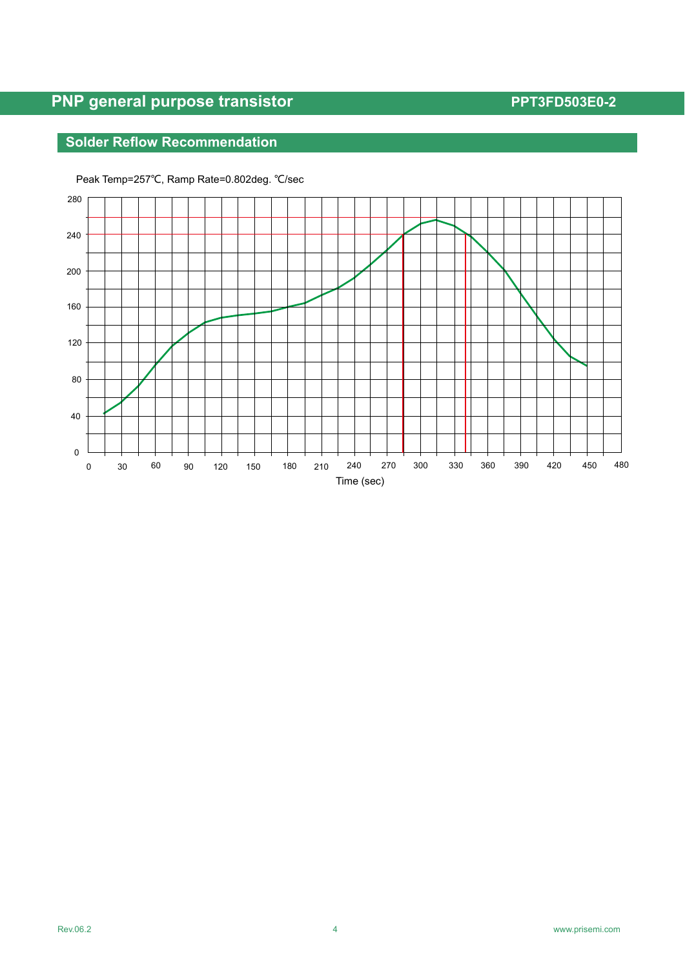# **Solder Reflow Recommendation**



Peak Temp=257℃, Ramp Rate=0.802deg. ℃/sec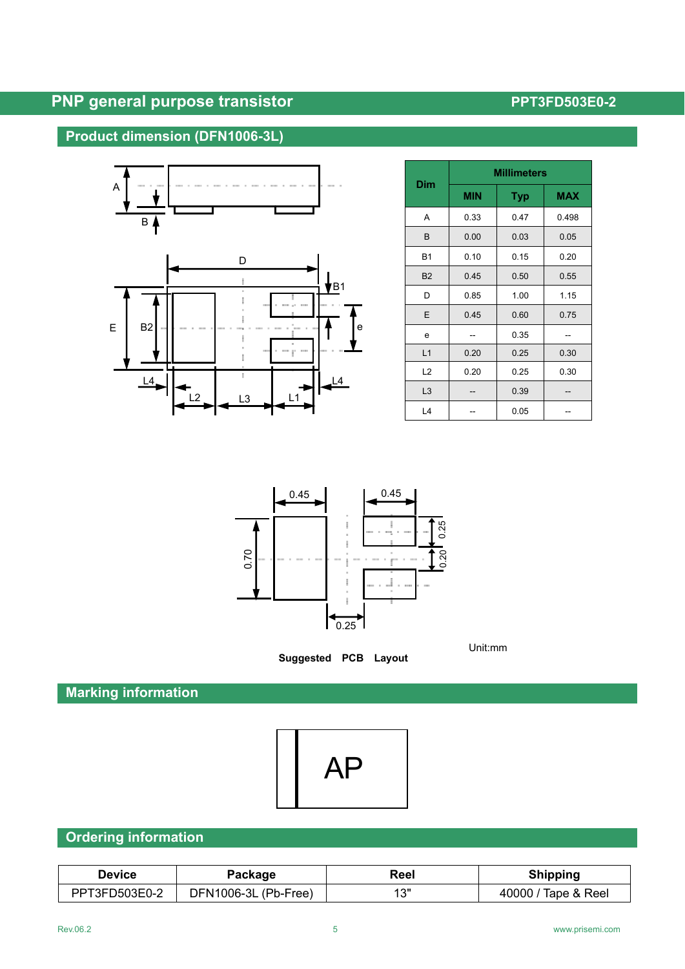# **Product dimension (DFN1006-3L)**



| Dim            | <b>Millimeters</b> |            |            |  |  |
|----------------|--------------------|------------|------------|--|--|
|                | <b>MIN</b>         | <b>Typ</b> | <b>MAX</b> |  |  |
| A              | 0.33               | 0.47       | 0.498      |  |  |
| B              | 0.00               | 0.03       | 0.05       |  |  |
| <b>B1</b>      | 0.10               | 0.15       | 0.20       |  |  |
| <b>B2</b>      | 0.45               | 0.50       | 0.55       |  |  |
| D              | 0.85               | 1.00       | 1.15       |  |  |
| E              | 0.45               | 0.60       | 0.75       |  |  |
| e              |                    | 0.35       |            |  |  |
| L1             | 0.20               | 0.25       | 0.30       |  |  |
| L2             | 0.20               | 0.25       | 0.30       |  |  |
| L <sub>3</sub> |                    | 0.39       |            |  |  |
| L4             |                    | 0.05       |            |  |  |



**Suggested PCB Layout** 

Unit:mm

# **Marking information**



## **Ordering information**

| Device        | Package              | Reel | <b>Shipping</b>     |
|---------------|----------------------|------|---------------------|
| PPT3FD503E0-2 | DFN1006-3L (Pb-Free) | 12"  | 40000 / Tape & Reel |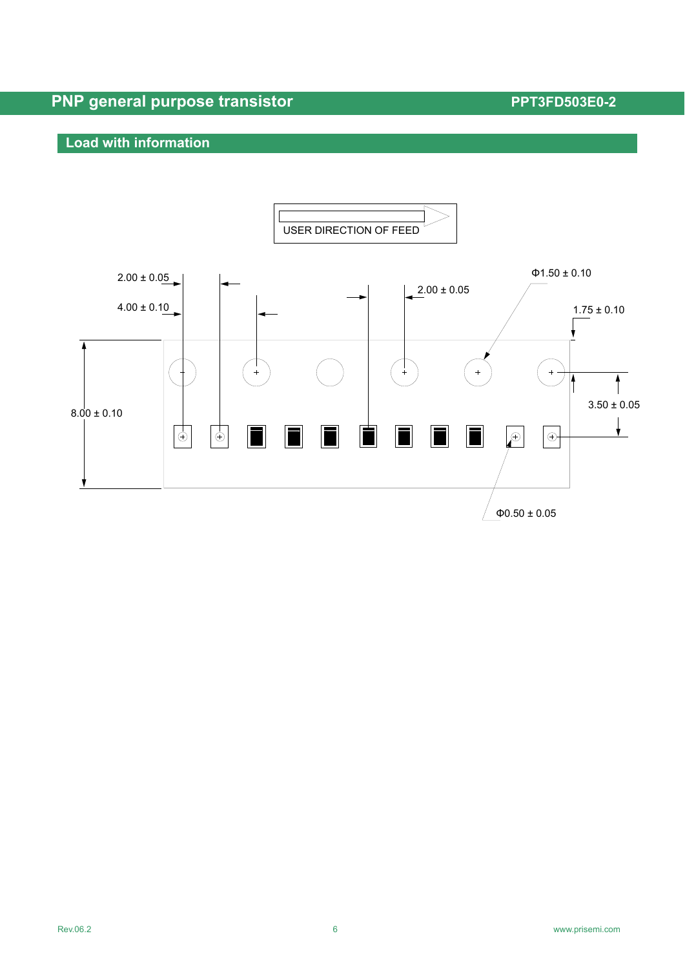## **Load with information**